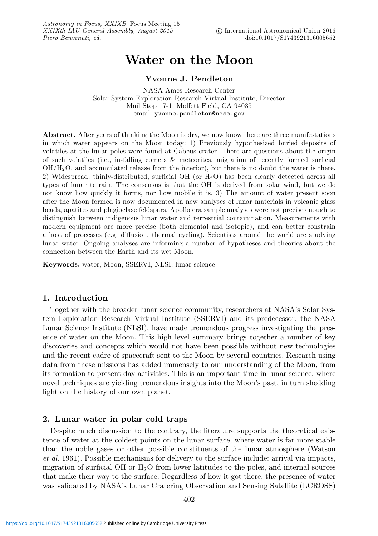# **Water on the Moon**

# **Yvonne J. Pendleton**

NASA Ames Research Center Solar System Exploration Research Virtual Institute, Director Mail Stop 17-1, Moffett Field, CA 94035 email: yvonne.pendleton@nasa.gov

Abstract. After years of thinking the Moon is dry, we now know there are three manifestations in which water appears on the Moon today: 1) Previously hypothesized buried deposits of volatiles at the lunar poles were found at Cabeus crater. There are questions about the origin of such volatiles (i.e., in-falling comets & meteorites, migration of recently formed surficial  $OH/H<sub>2</sub>O$ , and accumulated release from the interior), but there is no doubt the water is there. 2) Widespread, thinly-distributed, surficial OH (or  $H_2O$ ) has been clearly detected across all types of lunar terrain. The consensus is that the OH is derived from solar wind, but we do not know how quickly it forms, nor how mobile it is. 3) The amount of water present soon after the Moon formed is now documented in new analyses of lunar materials in volcanic glass beads, apatites and plagioclase feldspars. Apollo era sample analyses were not precise enough to distinguish between indigenous lunar water and terrestrial contamination. Measurements with modern equipment are more precise (both elemental and isotopic), and can better constrain a host of processes (e.g. diffusion, thermal cycling). Scientists around the world are studying lunar water. Ongoing analyses are informing a number of hypotheses and theories about the connection between the Earth and its wet Moon.

**Keywords.** water, Moon, SSERVI, NLSI, lunar science

#### **1. Introduction**

Together with the broader lunar science community, researchers at NASA's Solar System Exploration Research Virtual Institute (SSERVI) and its predecessor, the NASA Lunar Science Institute (NLSI), have made tremendous progress investigating the presence of water on the Moon. This high level summary brings together a number of key discoveries and concepts which would not have been possible without new technologies and the recent cadre of spacecraft sent to the Moon by several countries. Research using data from these missions has added immensely to our understanding of the Moon, from its formation to present day activities. This is an important time in lunar science, where novel techniques are yielding tremendous insights into the Moon's past, in turn shedding light on the history of our own planet.

### **2. Lunar water in polar cold traps**

Despite much discussion to the contrary, the literature supports the theoretical existence of water at the coldest points on the lunar surface, where water is far more stable than the noble gases or other possible constituents of the lunar atmosphere (Watson et al. 1961). Possible mechanisms for delivery to the surface include: arrival via impacts, migration of surficial OH or  $H_2O$  from lower latitudes to the poles, and internal sources that make their way to the surface. Regardless of how it got there, the presence of water was validated by NASA's Lunar Cratering Observation and Sensing Satellite (LCROSS)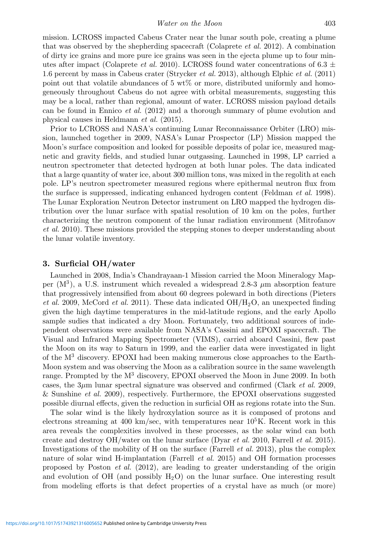mission. LCROSS impacted Cabeus Crater near the lunar south pole, creating a plume that was observed by the shepherding spacecraft (Colaprete *et al.* 2012). A combination of dirty ice grains and more pure ice grains was seen in the ejecta plume up to four minutes after impact (Colaprete *et al.* 2010). LCROSS found water concentrations of 6.3  $\pm$ 1.6 percent by mass in Cabeus crater (Strycker et al. 2013), although Elphic et al. (2011) point out that volatile abundances of 5 wt% or more, distributed uniformly and homogeneously throughout Cabeus do not agree with orbital measurements, suggesting this may be a local, rather than regional, amount of water. LCROSS mission payload details can be found in Ennico et al. (2012) and a thorough summary of plume evolution and physical causes in Heldmann et al. (2015).

Prior to LCROSS and NASA's continuing Lunar Reconnaissance Orbiter (LRO) mission, launched together in 2009, NASA's Lunar Prospector (LP) Mission mapped the Moon's surface composition and looked for possible deposits of polar ice, measured magnetic and gravity fields, and studied lunar outgassing. Launched in 1998, LP carried a neutron spectrometer that detected hydrogen at both lunar poles. The data indicated that a large quantity of water ice, about 300 million tons, was mixed in the regolith at each pole. LP's neutron spectrometer measured regions where epithermal neutron flux from the surface is suppressed, indicating enhanced hydrogen content (Feldman *et al.* 1998). The Lunar Exploration Neutron Detector instrument on LRO mapped the hydrogen distribution over the lunar surface with spatial resolution of 10 km on the poles, further characterizing the neutron component of the lunar radiation environment (Mitrofanov et al. 2010). These missions provided the stepping stones to deeper understanding about the lunar volatile inventory.

#### **3. Surficial OH/water**

Launched in 2008, India's Chandrayaan-1 Mission carried the Moon Mineralogy Mapper  $(M<sup>3</sup>)$ , a U.S. instrument which revealed a widespread 2.8-3  $\mu$ m absorption feature that progressively intensified from about 60 degrees poleward in both directions (Pieters et al. 2009, McCord et al. 2011). These data indicated  $OH/H_2O$ , an unexpected finding given the high daytime temperatures in the mid-latitude regions, and the early Apollo sample sudies that indicated a dry Moon. Fortunately, two additional sources of independent observations were available from NASA's Cassini and EPOXI spacecraft. The Visual and Infrared Mapping Spectrometer (VIMS), carried aboard Cassini, flew past the Moon on its way to Saturn in 1999, and the earlier data were investigated in light of the  $M<sup>3</sup>$  discovery. EPOXI had been making numerous close approaches to the Earth-Moon system and was observing the Moon as a calibration source in the same wavelength range. Prompted by the  $M<sup>3</sup>$  discovery, EPOXI observed the Moon in June 2009. In both cases, the  $3\mu$ m lunar spectral signature was observed and confirmed (Clark *et al.* 2009, & Sunshine *et al.* 2009), respectively. Furthermore, the EPOXI observations suggested possible diurnal effects, given the reduction in surficial OH as regions rotate into the Sun.

The solar wind is the likely hydroxylation source as it is composed of protons and electrons streaming at 400 km/sec, with temperatures near  $10^5$ K. Recent work in this area reveals the complexities involved in these processes, as the solar wind can both create and destroy OH/water on the lunar surface (Dyar *et al.* 2010, Farrell *et al.* 2015). Investigations of the mobility of H on the surface (Farrell *et al.* 2013), plus the complex nature of solar wind H-implantation (Farrell *et al.* 2015) and OH formation processes proposed by Poston et al. (2012), are leading to greater understanding of the origin and evolution of OH (and possibly  $H_2O$ ) on the lunar surface. One interesting result from modeling efforts is that defect properties of a crystal have as much (or more)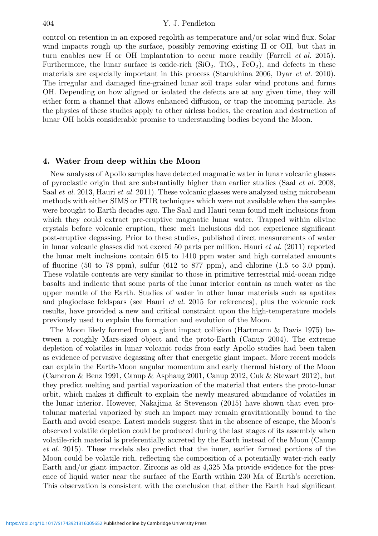control on retention in an exposed regolith as temperature and/or solar wind flux. Solar wind impacts rough up the surface, possibly removing existing H or OH, but that in turn enables new H or OH implantation to occur more readily (Farrell *et al.* 2015). Furthermore, the lunar surface is oxide-rich  $(SiO<sub>2</sub>, TiO<sub>2</sub>, FeO<sub>2</sub>)$ , and defects in these materials are especially important in this process (Starukhina 2006, Dyar et al. 2010). The irregular and damaged fine-grained lunar soil traps solar wind protons and forms OH. Depending on how aligned or isolated the defects are at any given time, they will either form a channel that allows enhanced diffusion, or trap the incoming particle. As the physics of these studies apply to other airless bodies, the creation and destruction of lunar OH holds considerable promise to understanding bodies beyond the Moon.

#### **4. Water from deep within the Moon**

New analyses of Apollo samples have detected magmatic water in lunar volcanic glasses of pyroclastic origin that are substantially higher than earlier studies (Saal et al. 2008, Saal *et al.* 2013, Hauri *et al.* 2011). These volcanic glasses were analyzed using microbeam methods with either SIMS or FTIR techniques which were not available when the samples were brought to Earth decades ago. The Saal and Hauri team found melt inclusions from which they could extract pre-eruptive magmatic lunar water. Trapped within olivine crystals before volcanic eruption, these melt inclusions did not experience significant post-eruptive degassing. Prior to these studies, published direct measurements of water in lunar volcanic glasses did not exceed 50 parts per million. Hauri et al. (2011) reported the lunar melt inclusions contain 615 to 1410 ppm water and high correlated amounts of fluorine  $(50 \text{ to } 78 \text{ ppm})$ , sulfur  $(612 \text{ to } 877 \text{ ppm})$ , and chlorine  $(1.5 \text{ to } 3.0 \text{ ppm})$ . These volatile contents are very similar to those in primitive terrestrial mid-ocean ridge basalts and indicate that some parts of the lunar interior contain as much water as the upper mantle of the Earth. Studies of water in other lunar materials such as apatites and plagioclase feldspars (see Hauri et al. 2015 for references), plus the volcanic rock results, have provided a new and critical constraint upon the high-temperature models previously used to explain the formation and evolution of the Moon.

The Moon likely formed from a giant impact collision (Hartmann & Davis 1975) between a roughly Mars-sized object and the proto-Earth (Canup 2004). The extreme depletion of volatiles in lunar volcanic rocks from early Apollo studies had been taken as evidence of pervasive degassing after that energetic giant impact. More recent models can explain the Earth-Moon angular momentum and early thermal history of the Moon (Cameron & Benz 1991, Canup & Asphaug 2001, Canup 2012, Cuk & Stewart 2012), but they predict melting and partial vaporization of the material that enters the proto-lunar orbit, which makes it difficult to explain the newly measured abundance of volatiles in the lunar interior. However, Nakajima & Stevenson (2015) have shown that even protolunar material vaporized by such an impact may remain gravitationally bound to the Earth and avoid escape. Latest models suggest that in the absence of escape, the Moon's observed volatile depletion could be produced during the last stages of its assembly when volatile-rich material is preferentially accreted by the Earth instead of the Moon (Canup et al. 2015). These models also predict that the inner, earlier formed portions of the Moon could be volatile rich, reflecting the composition of a potentially water-rich early Earth and/or giant impactor. Zircons as old as 4,325 Ma provide evidence for the presence of liquid water near the surface of the Earth within 230 Ma of Earth's accretion. This observation is consistent with the conclusion that either the Earth had significant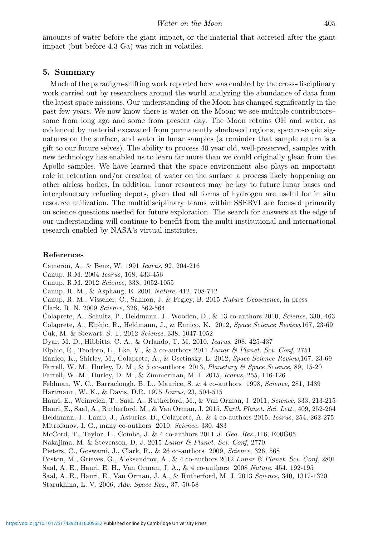amounts of water before the giant impact, or the material that accreted after the giant impact (but before 4.3 Ga) was rich in volatiles.

## **5. Summary**

Much of the paradigm-shifting work reported here was enabled by the cross-disciplinary work carried out by researchers around the world analyzing the abundance of data from the latest space missions. Our understanding of the Moon has changed significantly in the past few years. We now know there is water on the Moon; we see multiple contributors– some from long ago and some from present day. The Moon retains OH and water, as evidenced by material excavated from permanently shadowed regions, spectroscopic signatures on the surface, and water in lunar samples (a reminder that sample return is a gift to our future selves). The ability to process 40 year old, well-preserved, samples with new technology has enabled us to learn far more than we could originally glean from the Apollo samples. We have learned that the space environment also plays an important role in retention and/or creation of water on the surface–a process likely happening on other airless bodies. In addition, lunar resources may be key to future lunar bases and interplanetary refueling depots, given that all forms of hydrogen are useful for in situ resource utilization. The multidisciplinary teams within SSERVI are focused primarily on science questions needed for future exploration. The search for answers at the edge of our understanding will continue to benefit from the multi-institutional and international research enabled by NASA's virtual institutes.

## **References**

Cameron, A., & Benz, W. 1991 Icarus, 92, 204-216

Canup, R.M. 2004 Icarus, 168, 433-456

Canup, R.M. 2012 Science, 338, 1052-1055

Canup, R. M., & Asphaug, E. 2001 Nature, 412, 708-712

Canup, R. M., Visscher, C., Salmon, J. & Fegley, B. 2015 Nature Geoscience, in press

Clark, R. N. 2009 Science, 326, 562-564

Colaprete, A., Schultz, P., Heldmann, J., Wooden, D., & 13 co-authors 2010, Science, 330, 463 Colaprete, A., Elphic, R., Heldmann, J., & Ennico, K. 2012, Space Science Review,167, 23-69 Cuk, M. & Stewart, S. T. 2012 Science, 338, 1047-1052

Dyar, M. D., Hibbitts, C. A., & Orlando, T. M. 2010, Icarus, 208, 425-437

Elphic, R., Teodoro, L., Eke, V., & 3 co-authors 2011 Lunar & Planet. Sci. Conf, 2751

Ennico, K., Shirley, M., Colaprete, A., & Osetinsky, L. 2012, Space Science Review, 167, 23-69

Farrell, W. M., Hurley, D. M., & 5 co-authors 2013, Planetary & Space Science, 89, 15-20

Farrell, W. M., Hurley, D. M., & Zimmerman, M. I. 2015, Icarus, 255, 116-126

Feldman, W. C., Barraclough, B. L., Maurice, S. & 4 co-authors 1998, Science, 281, 1489 Hartmann, W. K., & Davis, D.R. 1975 Icarus, 23, 504-515

Hauri, E., Weinreich, T., Saal, A., Rutherford, M., & Van Orman, J. 2011, Science, 333, 213-215

Hauri, E., Saal, A., Rutherford, M., & Van Orman, J. 2015, Earth Planet. Sci. Lett., 409, 252-264

Heldmann, J., Lamb, J., Asturias, D., Colaprete, A. & 4 co-authors 2015, Icarus, 254, 262-275 Mitrofanov, I. G., many co-authors 2010, Science, 330, 483

McCord, T., Taylor, L., Combe, J. & 4 co-authors 2011 J. Geo. Res.,116, E00G05

Nakajima, M. & Stevenson, D. J. 2015 Lunar & Planet. Sci. Conf. 2770

Pieters, C., Goswami, J., Clark, R., & 26 co-authors 2009, Science, 326, 568

Poston, M., Grieves, G., Aleksandrov, A., & 4 co-authors 2012 Lunar & Planet. Sci. Conf, 2801

Saal, A. E., Hauri, E. H., Van Orman, J. A., & 4 co-authors 2008 Nature, 454, 192-195

Saal, A. E., Hauri, E., Van Orman, J. A., & Rutherford, M. J. 2013 Science, 340, 1317-1320 Starukhina, L. V. 2006, Adv. Space Res., 37, 50-58